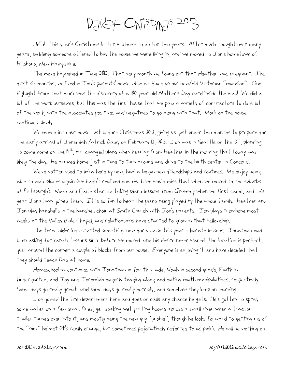## $D$ aley Christ $N$ as 2013

Hello! This year's Christmas letter will have to do for two years. After much thought over many years, suddenly someone offered to buy the house we were living in, and we moved to Jon's hometown of Hillsboro, New Hampshire.

The move happened in June 2012. That very month we found out that Heather was pregnant! The first six months, we lived in Jon's parents' house while we fixed up our new/old Victorian "mansion". One highlight from that work was the discovery of a 100 year old Mother's Day card inside the wall! We did a lot of the work ourselves, but this was the first house that we paid a variety of contractors to do a lot of the work, with the associated positives and negatives to go along with that. Work on the house continues slowly.

We moved into our house just before Christmas 2012, giving us just under two months to prepare for the early arrival of Jeremiah Patrick Daley on February 13, 2013. Jon was in Seattle on the 13<sup>th</sup>, planning to come home on the I<sup>Hth</sup>, but changed plans when hearing from Heather in the morning that today was likely the day. He arrived home just in time to turn around and drive to the birth center in Concord.

We've gotten used to living here by now, having begun new friendships and routines. We enjoy being able to walk places again (we hadn't realized how much we would miss that when we moved to the suburbs of Pittsburgh). Noah and Faith started taking piano lessons from Grammy when we first came, and this year Jonathan joined them. It is so fun to hear the piano being played by the whole family. Heather and Jon play handbells in the handbell choir at Smith Church with Jon's parents. Jon plays trombone most weeks at the Valley Bible Chapel, and relationships have started to grow in that fellowship.

The three older kids started something new for us also this year – karate lessons! Jonathan had been asking for karate lessons since before we moved, and his desire never waned. The location is perfect, just around the corner a couple of blocks from our house. Everyone is enjoying it and have decided that they should teach Dad at home.

Homeschooling continues with Jonathan in fourth grade, Noah in second grade, Faith in kindergarten, and Joy and Jeremiah eagerly tagging along and eating math manipulatives, respectively. Some days go really great, and some days go really horribly, and somehow they keep on learning.

Jon joined the fire department here and goes on calls any chance he gets. He's gotten to spray some water on a few small fires, get soaking wet putting booms across a small river when a tractortrailer turned over into it, and mostly being the new guy "probie", though he looks forward to getting rid of the "pink" helmet (it's really orange, but sometimes pejoratively referred to as pink). He will be working on

## jon@limedaley.com joyful@limedaley.com